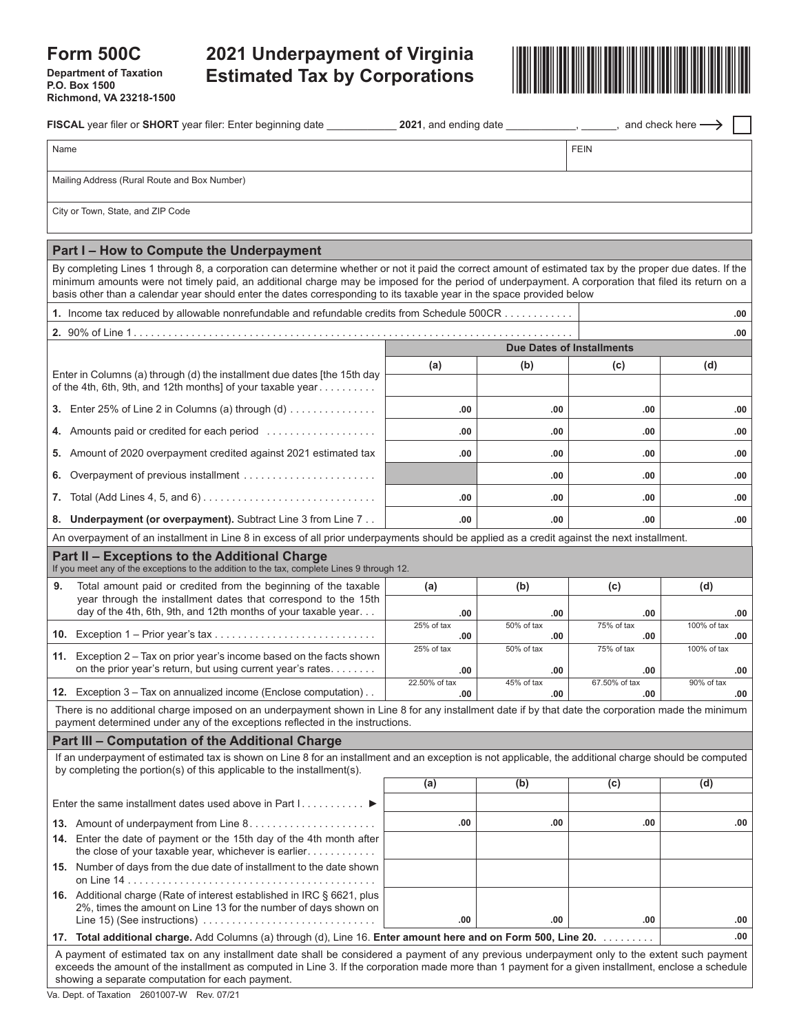# **Form 500C**

**Department of Taxation P.O. Box 1500 Richmond, VA 23218-1500**



| FISCAL year filer or SHORT year filer: Enter beginning date                                                                                                                                                                                                                                                                                                                                                                            | <b>2021</b> , and ending date $\_\_\_\_\_\_\_\$ <sub>,</sub> $\_\_\_\$ <sub>n</sub> and check here $\longrightarrow$ |                   |                      |                    |
|----------------------------------------------------------------------------------------------------------------------------------------------------------------------------------------------------------------------------------------------------------------------------------------------------------------------------------------------------------------------------------------------------------------------------------------|----------------------------------------------------------------------------------------------------------------------|-------------------|----------------------|--------------------|
| Name                                                                                                                                                                                                                                                                                                                                                                                                                                   |                                                                                                                      |                   | <b>FEIN</b>          |                    |
| Mailing Address (Rural Route and Box Number)                                                                                                                                                                                                                                                                                                                                                                                           |                                                                                                                      |                   |                      |                    |
| City or Town, State, and ZIP Code                                                                                                                                                                                                                                                                                                                                                                                                      |                                                                                                                      |                   |                      |                    |
|                                                                                                                                                                                                                                                                                                                                                                                                                                        |                                                                                                                      |                   |                      |                    |
| Part I - How to Compute the Underpayment                                                                                                                                                                                                                                                                                                                                                                                               |                                                                                                                      |                   |                      |                    |
| By completing Lines 1 through 8, a corporation can determine whether or not it paid the correct amount of estimated tax by the proper due dates. If the<br>minimum amounts were not timely paid, an additional charge may be imposed for the period of underpayment. A corporation that filed its return on a<br>basis other than a calendar year should enter the dates corresponding to its taxable year in the space provided below |                                                                                                                      |                   |                      |                    |
| 1. Income tax reduced by allowable nonrefundable and refundable credits from Schedule 500CR                                                                                                                                                                                                                                                                                                                                            |                                                                                                                      |                   |                      | .00                |
|                                                                                                                                                                                                                                                                                                                                                                                                                                        |                                                                                                                      |                   |                      | .00                |
|                                                                                                                                                                                                                                                                                                                                                                                                                                        | <b>Due Dates of Installments</b>                                                                                     |                   |                      |                    |
| Enter in Columns (a) through (d) the installment due dates [the 15th day<br>of the 4th, 6th, 9th, and 12th months] of your taxable year                                                                                                                                                                                                                                                                                                | (a)                                                                                                                  | (b)               | (c)                  | (d)                |
|                                                                                                                                                                                                                                                                                                                                                                                                                                        |                                                                                                                      |                   |                      |                    |
|                                                                                                                                                                                                                                                                                                                                                                                                                                        | .00                                                                                                                  | .00               | .00                  | .00                |
| Amounts paid or credited for each period<br>4.                                                                                                                                                                                                                                                                                                                                                                                         | .00                                                                                                                  | .00               | .00                  | .00                |
| Amount of 2020 overpayment credited against 2021 estimated tax<br>5.                                                                                                                                                                                                                                                                                                                                                                   | .00                                                                                                                  | .00               | .00                  | .00                |
| Overpayment of previous installment<br>6.                                                                                                                                                                                                                                                                                                                                                                                              |                                                                                                                      | .00               | .00                  | .00                |
| 7.                                                                                                                                                                                                                                                                                                                                                                                                                                     | .00                                                                                                                  | .00               | .00                  | .00                |
| <b>Underpayment (or overpayment).</b> Subtract Line 3 from Line 7<br>8.                                                                                                                                                                                                                                                                                                                                                                | .00                                                                                                                  | .00               | .00                  | .00                |
| An overpayment of an installment in Line 8 in excess of all prior underpayments should be applied as a credit against the next installment.                                                                                                                                                                                                                                                                                            |                                                                                                                      |                   |                      |                    |
| Part II – Exceptions to the Additional Charge<br>If you meet any of the exceptions to the addition to the tax, complete Lines 9 through 12.                                                                                                                                                                                                                                                                                            |                                                                                                                      |                   |                      |                    |
| 9.<br>Total amount paid or credited from the beginning of the taxable                                                                                                                                                                                                                                                                                                                                                                  | (a)                                                                                                                  | (b)               | (c)                  | (d)                |
| year through the installment dates that correspond to the 15th<br>day of the 4th, 6th, 9th, and 12th months of your taxable year                                                                                                                                                                                                                                                                                                       | .00                                                                                                                  | .00               | .00                  | .00                |
|                                                                                                                                                                                                                                                                                                                                                                                                                                        | 25% of tax<br>.00                                                                                                    | 50% of tax<br>.00 | 75% of tax<br>.00    | 100% of tax<br>.00 |
| 11. Exception $2 -$ Tax on prior year's income based on the facts shown                                                                                                                                                                                                                                                                                                                                                                | 25% of tax                                                                                                           | 50% of tax        | 75% of tax           | 100% of tax        |
| on the prior year's return, but using current year's rates.                                                                                                                                                                                                                                                                                                                                                                            | .00                                                                                                                  | .00               | .00                  | .00                |
| 12. Exception 3 - Tax on annualized income (Enclose computation)                                                                                                                                                                                                                                                                                                                                                                       | 22.50% of tax<br>.00                                                                                                 | 45% of tax<br>.00 | 67.50% of tax<br>.00 | 90% of tax<br>.00  |
| There is no additional charge imposed on an underpayment shown in Line 8 for any installment date if by that date the corporation made the minimum                                                                                                                                                                                                                                                                                     |                                                                                                                      |                   |                      |                    |
| payment determined under any of the exceptions reflected in the instructions.<br>Part III - Computation of the Additional Charge                                                                                                                                                                                                                                                                                                       |                                                                                                                      |                   |                      |                    |
| If an underpayment of estimated tax is shown on Line 8 for an installment and an exception is not applicable, the additional charge should be computed                                                                                                                                                                                                                                                                                 |                                                                                                                      |                   |                      |                    |
| by completing the portion(s) of this applicable to the installment(s).                                                                                                                                                                                                                                                                                                                                                                 | (a)                                                                                                                  | (b)               | (c)                  | (d)                |
| Enter the same installment dates used above in Part $1, \ldots, \ldots$                                                                                                                                                                                                                                                                                                                                                                |                                                                                                                      |                   |                      |                    |
|                                                                                                                                                                                                                                                                                                                                                                                                                                        | .00                                                                                                                  | .00               | .00                  | .00                |
| 14. Enter the date of payment or the 15th day of the 4th month after                                                                                                                                                                                                                                                                                                                                                                   |                                                                                                                      |                   |                      |                    |
| the close of your taxable year, whichever is earlier<br>15. Number of days from the due date of installment to the date shown                                                                                                                                                                                                                                                                                                          |                                                                                                                      |                   |                      |                    |
|                                                                                                                                                                                                                                                                                                                                                                                                                                        |                                                                                                                      |                   |                      |                    |
| 16. Additional charge (Rate of interest established in IRC § 6621, plus<br>2%, times the amount on Line 13 for the number of days shown on                                                                                                                                                                                                                                                                                             | .00                                                                                                                  | .00               | .00                  | .00                |
| Line 15) (See instructions) $\ldots \ldots \ldots \ldots \ldots \ldots \ldots \ldots \ldots$<br>17. Total additional charge. Add Columns (a) through (d), Line 16. Enter amount here and on Form 500, Line 20.                                                                                                                                                                                                                         |                                                                                                                      |                   |                      | .00.               |
| A payment of estimated tax on any installment date shall be considered a payment of any previous underpayment only to the extent such payment<br>exceeds the amount of the installment as computed in Line 3. If the corporation made more than 1 payment for a given installment, enclose a schedule<br>showing a separate computation for each payment.                                                                              |                                                                                                                      |                   |                      |                    |

Va. Dept. of Taxation 2601007-W Rev. 07/21